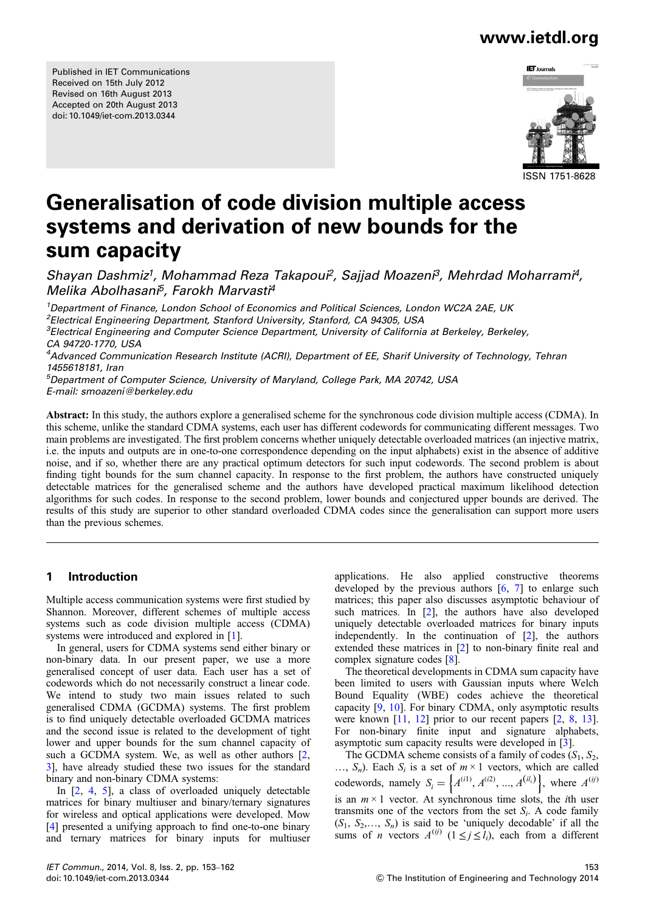Published in IET Communications Received on 15th July 2012 Revised on 16th August 2013 Accepted on 20th August 2013 doi: 10.1049/iet-com.2013.0344



# Generalisation of code division multiple access systems and derivation of new bounds for the sum capacity

Shayan Dashmiz<sup>1</sup>, Mohammad Reza Takapoui<sup>2</sup>, Sajjad Moazeni<sup>3</sup>, Mehrdad Moharrami<sup>4</sup>, Melika Abolhasani<sup>5</sup>, Farokh Marvasti<sup>4</sup>

<sup>1</sup>Department of Finance, London School of Economics and Political Sciences, London WC2A 2AE, UK <sup>2</sup> Electrical Engineering Department, Stanford University, Stanford, CA 94305, USA <sup>3</sup>Electrical Engineering and Computer Science Department, University of California at Berkeley, Berkeley, CA 94720-1770, USA <sup>4</sup>Advanced Communication Research Institute (ACRI), Department of EE, Sharif University of Technology, Tehran 1455618181, Iran

5 Department of Computer Science, University of Maryland, College Park, MA 20742, USA E-mail: smoazeni@berkeley.edu

Abstract: In this study, the authors explore a generalised scheme for the synchronous code division multiple access (CDMA). In this scheme, unlike the standard CDMA systems, each user has different codewords for communicating different messages. Two main problems are investigated. The first problem concerns whether uniquely detectable overloaded matrices (an injective matrix, i.e. the inputs and outputs are in one-to-one correspondence depending on the input alphabets) exist in the absence of additive noise, and if so, whether there are any practical optimum detectors for such input codewords. The second problem is about finding tight bounds for the sum channel capacity. In response to the first problem, the authors have constructed uniquely detectable matrices for the generalised scheme and the authors have developed practical maximum likelihood detection algorithms for such codes. In response to the second problem, lower bounds and conjectured upper bounds are derived. The results of this study are superior to other standard overloaded CDMA codes since the generalisation can support more users than the previous schemes.

### 1 Introduction

Multiple access communication systems were first studied by Shannon. Moreover, different schemes of multiple access systems such as code division multiple access (CDMA) systems were introduced and explored in [1].

In general, users for CDMA systems send either binary or non-binary data. In our present paper, we use a more generalised concept of user data. Each user has a set of codewords which do not necessarily construct a linear code. We intend to study two main issues related to such generalised CDMA (GCDMA) systems. The first problem is to find uniquely detectable overloaded GCDMA matrices and the second issue is related to the development of tight lower and upper bounds for the sum channel capacity of such a GCDMA system. We, as well as other authors [2, 3], have already studied these two issues for the standard binary and non-binary CDMA systems:

In [2, 4, 5], a class of overloaded uniquely detectable matrices for binary multiuser and binary/ternary signatures for wireless and optical applications were developed. Mow [4] presented a unifying approach to find one-to-one binary and ternary matrices for binary inputs for multiuser

applications. He also applied constructive theorems developed by the previous authors  $[6, 7]$  to enlarge such matrices; this paper also discusses asymptotic behaviour of such matrices. In [2], the authors have also developed uniquely detectable overloaded matrices for binary inputs independently. In the continuation of [2], the authors extended these matrices in [2] to non-binary finite real and complex signature codes [8].

The theoretical developments in CDMA sum capacity have been limited to users with Gaussian inputs where Welch Bound Equality (WBE) codes achieve the theoretical capacity [9, 10]. For binary CDMA, only asymptotic results were known [11, 12] prior to our recent papers [2, 8, 13]. For non-binary finite input and signature alphabets, asymptotic sum capacity results were developed in [3].

The GCDMA scheme consists of a family of codes  $(S_1, S_2, S_3)$  $..., S_n$ ). Each  $S_i$  is a set of  $m \times 1$  vectors, which are called codewords, namely  $S_i = \left\{ A^{(i1)}, A^{(i2)}, ..., A^{(il_i)} \right\}$ , where  $A^{(ij)}$ is an  $m \times 1$  vector. At synchronous time slots, the *i*th user transmits one of the vectors from the set  $S_i$ . A code family  $(S_1, S_2, \ldots, S_n)$  is said to be 'uniquely decodable' if all the sums of *n* vectors  $A^{(ij)}$  ( $1 \le j \le \hat{l}_i$ ), each from a different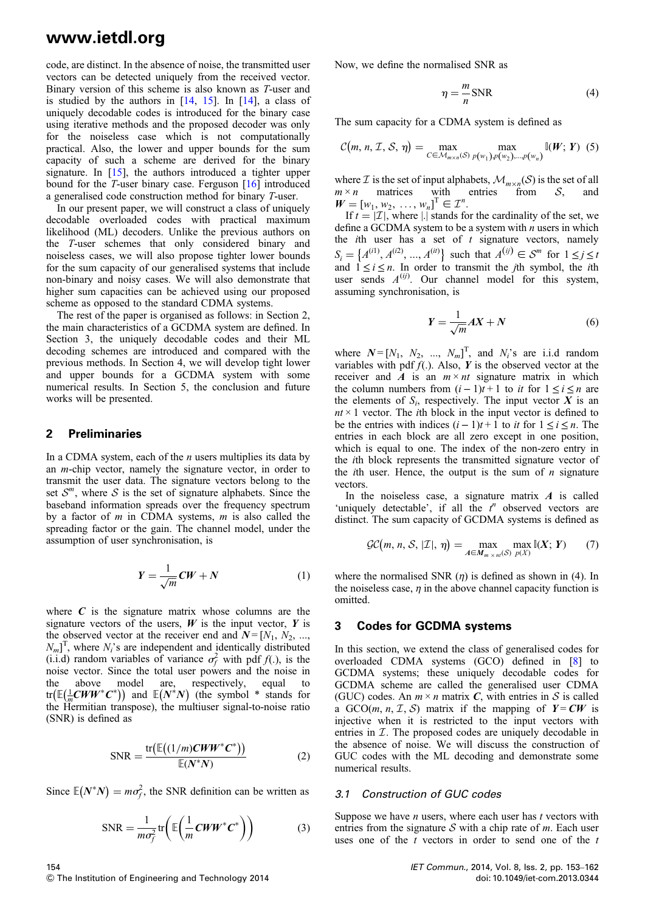code, are distinct. In the absence of noise, the transmitted user vectors can be detected uniquely from the received vector. Binary version of this scheme is also known as T-user and is studied by the authors in [14, 15]. In [14], a class of uniquely decodable codes is introduced for the binary case using iterative methods and the proposed decoder was only for the noiseless case which is not computationally practical. Also, the lower and upper bounds for the sum capacity of such a scheme are derived for the binary signature. In [15], the authors introduced a tighter upper bound for the T-user binary case. Ferguson [16] introduced a generalised code construction method for binary T-user.

In our present paper, we will construct a class of uniquely decodable overloaded codes with practical maximum likelihood (ML) decoders. Unlike the previous authors on the T-user schemes that only considered binary and noiseless cases, we will also propose tighter lower bounds for the sum capacity of our generalised systems that include non-binary and noisy cases. We will also demonstrate that higher sum capacities can be achieved using our proposed scheme as opposed to the standard CDMA systems.

The rest of the paper is organised as follows: in Section 2, the main characteristics of a GCDMA system are defined. In Section 3, the uniquely decodable codes and their ML decoding schemes are introduced and compared with the previous methods. In Section 4, we will develop tight lower and upper bounds for a GCDMA system with some numerical results. In Section 5, the conclusion and future works will be presented.

### 2 Preliminaries

In a CDMA system, each of the  $n$  users multiplies its data by an m-chip vector, namely the signature vector, in order to transmit the user data. The signature vectors belong to the set  $S^m$ , where S is the set of signature alphabets. Since the baseband information spreads over the frequency spectrum by a factor of  $m$  in CDMA systems,  $m$  is also called the spreading factor or the gain. The channel model, under the assumption of user synchronisation, is

$$
Y = \frac{1}{\sqrt{m}} C W + N \tag{1}
$$

where  $C$  is the signature matrix whose columns are the signature vectors of the users,  $W$  is the input vector,  $Y$  is the observed vector at the receiver end and  $N = [N_1, N_2, ...,$  $N_m$ <sup>T</sup>, where  $N_i$ 's are independent and identically distributed (i.i.d) random variables of variance  $\sigma_f^2$  with pdf  $f(.)$ , is the noise vector. Since the total user powers and the noise in the above model are, respectively, equal to  $\text{tr}\left(\mathbb{E}(\frac{1}{m}CWW^*C^*)\right)$  and  $\mathbb{E}(N^*N)$  (the symbol \* stands for the Hermitian transpose), the multiuser signal-to-noise ratio (SNR) is defined as

$$
SNR = \frac{\text{tr}\left(\mathbb{E}\left((1/m)\mathbf{C}W\mathbf{W}^*\mathbf{C}^*\right)\right)}{\mathbb{E}(N^*N)}
$$
(2)

Since  $\mathbb{E}(N^*N) = m\sigma_f^2$ , the SNR definition can be written as

$$
\text{SNR} = \frac{1}{m\sigma_f^2} \text{tr}\bigg(\mathbb{E}\bigg(\frac{1}{m}\mathbf{C}W\mathbf{W}^*\mathbf{C}^*\bigg)\bigg) \tag{3}
$$

Now, we define the normalised SNR as

$$
\eta = -\frac{m}{n} \text{SNR} \tag{4}
$$

The sum capacity for a CDMA system is defined as

$$
\mathcal{C}(m, n, \mathcal{I}, \mathcal{S}, \eta) = \max_{C \in \mathcal{M}_{m \times n}(\mathcal{S})} \max_{p(w_1), p(w_2), \dots, p(w_n)} \mathbb{I}(W; Y) \tag{5}
$$

where  $\mathcal I$  is the set of input alphabets,  $\mathcal M_{m \times n}(\mathcal S)$  is the set of all  $m \times n$  matrices with entries from  $\mathcal S$ , and  $m \times n$  matrices with entries from S, and  $W = [w_1, w_2, ..., w_n]^{T} \in \mathcal{I}^n$ .

If  $t = |\mathcal{I}|$ , where |.| stands for the cardinality of the set, we define a GCDMA system to be a system with  $n$  users in which the *i*th user has a set of  $t$  signature vectors, namely  $S_i = \{A^{(i1)}, A^{(i2)}, ..., A^{(it)}\}$  such that  $A^{(ij)} \in S^m$  for  $1 \le j \le t$ and  $1 \le i \le n$ . In order to transmit the *j*th symbol, the *i*th user sends  $A^{(ij)}$ . Our channel model for this system, assuming synchronisation, is

$$
Y = \frac{1}{\sqrt{m}}AX + N\tag{6}
$$

where  $N = [N_1, N_2, ..., N_m]^T$ , and  $N_i$ 's are i.i.d random variables with pdf  $f(.)$ . Also, Y is the observed vector at the receiver and A is an  $m \times nt$  signature matrix in which the column numbers from  $(i - 1)t + 1$  to it for  $1 \le i \le n$  are the elements of  $S_i$ , respectively. The input vector X is an  $nt \times 1$  vector. The *i*th block in the input vector is defined to be the entries with indices  $(i - 1)t + 1$  to it for  $1 \le i \le n$ . The entries in each block are all zero except in one position, which is equal to one. The index of the non-zero entry in the ith block represents the transmitted signature vector of the *i*th user. Hence, the output is the sum of  $n$  signature vectors.

In the noiseless case, a signature matrix  $A$  is called 'uniquely detectable', if all the  $t^n$  observed vectors are distinct. The sum capacity of GCDMA systems is defined as

$$
\mathcal{GC}(m, n, \mathcal{S}, |\mathcal{I}|, \eta) = \max_{A \in M_{m \times n!}(\mathcal{S})} \max_{p(X)} \mathbb{I}(X; Y) \qquad (7)
$$

where the normalised SNR  $(\eta)$  is defined as shown in (4). In the noiseless case,  $\eta$  in the above channel capacity function is omitted.

### 3 Codes for GCDMA systems

In this section, we extend the class of generalised codes for overloaded CDMA systems (GCO) defined in [8] to GCDMA systems; these uniquely decodable codes for GCDMA scheme are called the generalised user CDMA (GUC) codes. An  $m \times n$  matrix C, with entries in S is called a GCO(*m*, *n*, *I*, *S*) matrix if the mapping of  $Y = CW$  is injective when it is restricted to the input vectors with entries in  $I$ . The proposed codes are uniquely decodable in the absence of noise. We will discuss the construction of GUC codes with the ML decoding and demonstrate some numerical results.

#### 3.1 Construction of GUC codes

Suppose we have  $n$  users, where each user has  $t$  vectors with entries from the signature  $S$  with a chip rate of m. Each user uses one of the  $t$  vectors in order to send one of the  $t$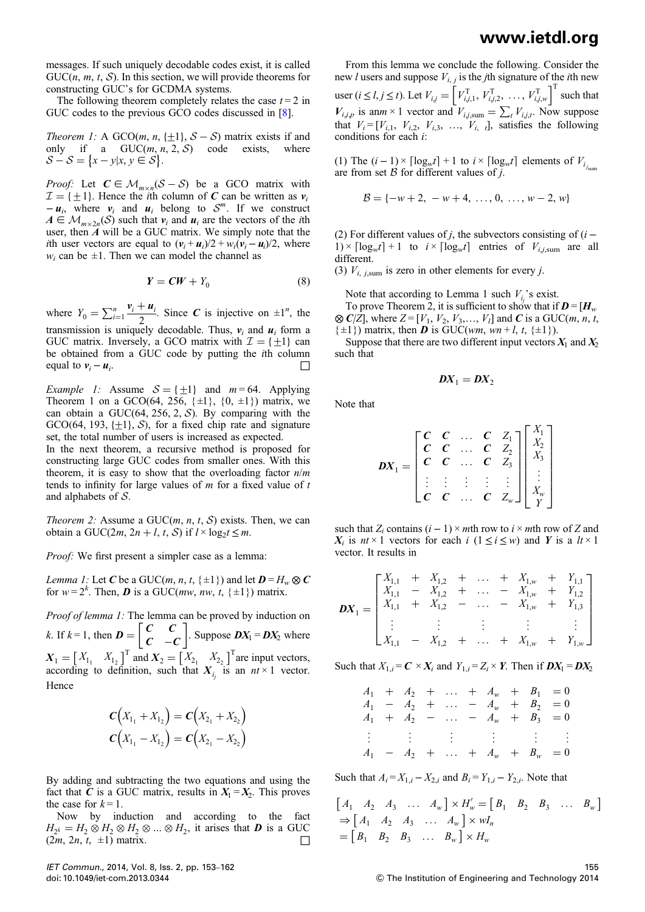messages. If such uniquely decodable codes exist, it is called  $GUC(n, m, t, S)$ . In this section, we will provide theorems for constructing GUC's for GCDMA systems.

The following theorem completely relates the case  $t = 2$  in GUC codes to the previous GCO codes discussed in [8].

Theorem 1: A GCO(m, n, { $\pm 1$ }, S – S) matrix exists if and only if a GUC(m, n, 2, S) code exists, where only if a  $GUC(m, n, 2, S)$  code  $\mathcal{S} - \mathcal{S} = \{x - y | x, y \in \mathcal{S} \}.$ 

*Proof:* Let  $C \in M_{m \times n}(S - S)$  be a GCO matrix with  $\mathcal{I} = \{\pm 1\}$ . Hence the *i*th column of C can be written as  $v_i$  $- u_i$ , where  $v_i$  and  $u_i$  belong to  $S^m$ . If we construct  $A \in \mathcal{M}_{m \times 2n}(\mathcal{S})$  such that  $v_i$  and  $u_i$  are the vectors of the *i*th user, then A will be a GUC matrix. We simply note that the *i*th user vectors are equal to  $(v_i + u_i)/2 + w_i(v_i - u_i)/2$ , where  $w_i$  can be  $\pm 1$ . Then we can model the channel as

$$
Y = CW + Y_0 \tag{8}
$$

where  $Y_0 = \sum_{i=1}^n \frac{v_i + u_i}{2}$ . Since C is injective on  $\pm 1^n$ , the transmission is uniquely decodable. Thus,  $v_i$  and  $u_i$  form a GUC matrix. Inversely, a GCO matrix with  $\mathcal{I} = \{\pm 1\}$  can be obtained from a GUC code by putting the ith column equal to  $v_i - u_i$ . □

*Example 1:* Assume  $S = \{ \pm 1 \}$  and  $m = 64$ . Applying Theorem 1 on a GCO(64, 256,  $\{\pm 1\}$ ,  $\{0, \pm 1\}$ ) matrix, we can obtain a GUC(64, 256, 2,  $S$ ). By comparing with the GCO (64, 193,  $\{+1\}$ , S), for a fixed chip rate and signature set, the total number of users is increased as expected.

In the next theorem, a recursive method is proposed for constructing large GUC codes from smaller ones. With this theorem, it is easy to show that the overloading factor  $n/m$ tends to infinity for large values of  $m$  for a fixed value of  $t$ and alphabets of S.

Theorem 2: Assume a  $GUC(m, n, t, S)$  exists. Then, we can obtain a GUC(2*m*, 2*n* + *l*, *t*, *S*) if  $l \times log_2 t \le m$ .

Proof: We first present a simpler case as a lemma:

*Lemma 1:* Let C be a GUC(*m, n, t,* { $\pm 1$ }) and let  $D = H_w \otimes C$ for  $w = 2^k$ . Then, **D** is a GUC(*mw*, *nw*, *t*, { $\pm 1$ }) matrix.

Proof of lemma 1: The lemma can be proved by induction on k. If  $k = 1$ , then  $\boldsymbol{D} = \begin{bmatrix} \boldsymbol{C} & \boldsymbol{C} \\ \boldsymbol{C} & -\boldsymbol{C} \end{bmatrix}$  $\begin{bmatrix} C & C \\ C & -C \end{bmatrix}$ . Suppose  $DX_1 = DX_2$  where  $X_1 = \begin{bmatrix} X_{1_1} & X_{1_2} \end{bmatrix}^T$  and  $X_2 = \begin{bmatrix} X_{2_1} & X_{2_2} \end{bmatrix}^T$  are input vectors, according to definition, such that  $X_{i_j}$  is an  $nt \times 1$  vector. Hence

$$
C(X_{1_1} + X_{1_2}) = C(X_{2_1} + X_{2_2})
$$
  

$$
C(X_{1_1} - X_{1_2}) = C(X_{2_1} - X_{2_2})
$$

By adding and subtracting the two equations and using the fact that C is a GUC matrix, results in  $X_1 = X_2$ . This proves the case for  $k = 1$ .

Now by induction and according to the fact  $H_{2^k} = H_2 \otimes H_2 \otimes H_2 \otimes \dots \otimes H_2$ , it arises that **D** is a GUC  $(2m, 2n, t, \pm 1)$  matrix.  $(2m, 2n, t, \pm 1)$  matrix.

IET Commun., 2014, Vol. 8, Iss. 2, pp. 153–162 doi: 10.1049/iet-com.2013.0344

(1) The  $(i - 1) \times \lceil \log_w t \rceil + 1$  to  $i \times \lceil \log_w t \rceil$  elements of  $V_{i_{j_{\text{sum}}}}$  are from set B for different values of j.

$$
\mathcal{B} = \{-w+2, -w+4, \ldots, 0, \ldots, w-2, w\}
$$

(2) For different values of *j*, the subvectors consisting of  $(i 1) \times \lceil \log_w t \rceil + 1$  to  $i \times \lceil \log_w t \rceil$  entries of  $V_{i,j,\text{sum}}$  are all different.

(3)  $V_{i,j,\text{sum}}$  is zero in other elements for every j.

Note that according to Lemma 1 such  $V_i$ 's exist.

To prove Theorem 2, it is sufficient to show that if  $D = [H_{w}]$  $\otimes$  C/Z], where Z = [V<sub>1</sub>, V<sub>2</sub>, V<sub>3</sub>,..., V<sub>I</sub>] and C is a GUC(*m*, *n*, *t*,  $\{\pm 1\}$ ) matrix, then **D** is GUC(wm, wn + l, t,  $\{\pm 1\}$ ).

Suppose that there are two different input vectors  $X_1$  and  $X_2$ such that

$$
DX_1 = DX_2
$$

Note that

$$
DX_1 = \begin{bmatrix} C & C & \dots & C & Z_1 \\ C & C & \dots & C & Z_2 \\ C & C & \dots & C & Z_3 \\ \vdots & \vdots & \vdots & \vdots & \vdots \\ C & C & \dots & C & Z_w \end{bmatrix} \begin{bmatrix} X_1 \\ X_2 \\ X_3 \\ \vdots \\ X_w \\ Y \end{bmatrix}
$$

such that Z<sub>i</sub> contains  $(i - 1) \times m$ th row to  $i \times m$ th row of Z and  $X_i$  is  $nt \times 1$  vectors for each i  $(1 \le i \le w)$  and Y is a  $lt \times 1$ vector. It results in

$$
DX_{1} = \begin{bmatrix} X_{1,1} & + & X_{1,2} & + & \dots & + & X_{1,w} & + & Y_{1,1} \\ X_{1,1} & - & X_{1,2} & + & \dots & - & X_{1,w} & + & Y_{1,2} \\ X_{1,1} & + & X_{1,2} & - & \dots & - & X_{1,w} & + & Y_{1,3} \\ \vdots & \vdots & \vdots & \vdots & \vdots & \vdots & \vdots \\ X_{1,1} & - & X_{1,2} & + & \dots & + & X_{1,w} & + & Y_{1,w} \end{bmatrix}
$$

Such that  $X_{1,i} = \mathbf{C} \times \mathbf{X}_i$  and  $Y_{1,i} = Z_i \times \mathbf{Y}$ . Then if  $\mathbf{D}X_1 = \mathbf{D}X_2$ 

$$
A_1 + A_2 + \dots + A_w + B_1 = 0
$$
  
\n
$$
A_1 - A_2 + \dots - A_w + B_2 = 0
$$
  
\n
$$
A_1 + A_2 - \dots - A_w + B_3 = 0
$$
  
\n
$$
\vdots \qquad \vdots \qquad \vdots \qquad \vdots \qquad \vdots \qquad \vdots
$$
  
\n
$$
A_1 - A_2 + \dots + A_w + B_w = 0
$$

Such that  $A_i = X_{1,i} - X_{2,i}$  and  $B_i = Y_{1,i} - Y_{2,i}$ . Note that

$$
\begin{aligned}\n\left[A_1 \quad A_2 \quad A_3 \quad \dots \quad A_w\right] \times H'_w &= \left[B_1 \quad B_2 \quad B_3 \quad \dots \quad B_w\right] \\
&\Rightarrow \left[A_1 \quad A_2 \quad A_3 \quad \dots \quad A_w\right] \times wI_n \\
&= \left[B_1 \quad B_2 \quad B_3 \quad \dots \quad B_w\right] \times H_w\n\end{aligned}
$$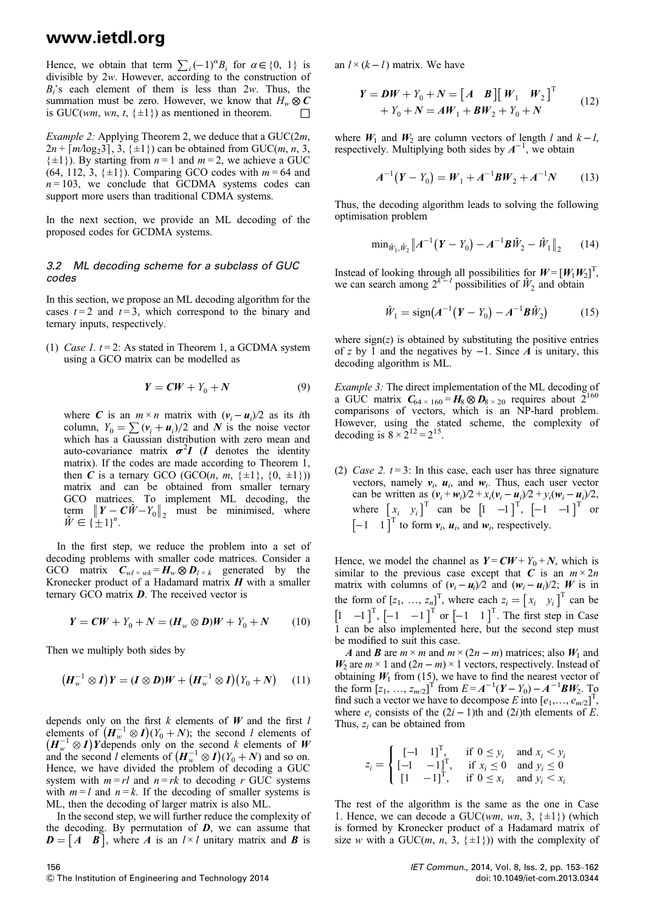Hence, we obtain that term  $\sum_i (-1)^{\alpha} B_i$  for  $\alpha \in \{0, 1\}$  is divisible by 2w. However, according to the construction of  $B_i$ 's each element of them is less than 2w. Thus, the summation must be zero. However, we know that  $H_w \otimes C$ is GUC(wm, wn, t,  $\{\pm 1\}$ ) as mentioned in theorem.  $\Box$ 

*Example 2:* Applying Theorem 2, we deduce that a  $GUC(2m,$  $2n + \lceil m/\log_2{3} \rceil$ ,  $3, \{\pm 1\}$  can be obtained from GUC(*m*, *n*, 3,  $\{\pm 1\}$ ). By starting from  $n = 1$  and  $m = 2$ , we achieve a GUC (64, 112, 3,  $\{\pm 1\}$ ). Comparing GCO codes with  $m = 64$  and  $n = 103$ , we conclude that GCDMA systems codes can support more users than traditional CDMA systems.

In the next section, we provide an ML decoding of the proposed codes for GCDMA systems.

#### 3.2 ML decoding scheme for a subclass of GUC codes

In this section, we propose an ML decoding algorithm for the cases  $t = 2$  and  $t = 3$ , which correspond to the binary and ternary inputs, respectively.

(1) Case 1.  $t = 2$ : As stated in Theorem 1, a GCDMA system using a GCO matrix can be modelled as

$$
Y = CW + Y_0 + N \tag{9}
$$

where C is an  $m \times n$  matrix with  $(v_i - u_i)/2$  as its *i*th column,  $Y_0 = \sum (v_i + u_i)/2$  and N is the noise vector which has a Gaussian distribution with zero mean and auto-covariance matrix  $\sigma^2 I$  (*I* denotes the identity matrix). If the codes are made according to Theorem 1, then  $\hat{C}$  is a ternary GCO (GCO(*n*, *m*, { $\pm 1$ }, {0,  $\pm 1$ })) matrix and can be obtained from smaller ternary GCO matrices. To implement ML decoding, the term  $\left\| Y - \mathbf{C} \hat{W} - Y_0 \right\|_2$  must be minimised, where  $\hat{W} \in \{\frac{1}{2} 1\}^n$ .

In the first step, we reduce the problem into a set of decoding problems with smaller code matrices. Consider a GCO matrix  $C_{wl \times wk} = H_w \otimes D_{l \times k}$  generated by the Kronecker product of a Hadamard matrix  $H$  with a smaller ternary GCO matrix  $\boldsymbol{D}$ . The received vector is

$$
Y = CW + Y_0 + N = (H_w \otimes D)W + Y_0 + N \tag{10}
$$

Then we multiply both sides by

$$
\left(H_w^{-1}\otimes I\right)Y = (I\otimes D)W + \left(H_w^{-1}\otimes I\right)\left(Y_0+N\right) \tag{11}
$$

depends only on the first  $k$  elements of  $W$  and the first  $l$ elements of  $(H_w^{-1} \otimes I)(Y_0 + N)$ ; the second l elements of  $(H_w^{-1} \otimes I)Y$  depends only on the second k elements of  $W$ <br>and the second l elements of  $(H_w^{-1} \otimes I)(Y_0 + N)$  and so on. Hence, we have divided the problem of decoding a GUC system with  $m = rl$  and  $n = rk$  to decoding r GUC systems with  $m = l$  and  $n = k$ . If the decoding of smaller systems is ML, then the decoding of larger matrix is also ML.

In the second step, we will further reduce the complexity of the decoding. By permutation of  $D$ , we can assume that  $\mathbf{D} = \begin{bmatrix} A & B \end{bmatrix}$ , where A is an  $l \times l$  unitary matrix and B is

an  $l \times (k - l)$  matrix. We have

$$
Y = DW + Y_0 + N = [A \ B] [W_1 \ W_2]^{T}
$$
  
+ Y<sub>0</sub> + N = AW<sub>1</sub> + BW<sub>2</sub> + Y<sub>0</sub> + N (12)

where  $W_1$  and  $W_2$  are column vectors of length l and  $k - l$ , respectively. Multiplying both sides by  $A^{-1}$ , we obtain

$$
A^{-1}(Y - Y_0) = W_1 + A^{-1}BW_2 + A^{-1}N \tag{13}
$$

Thus, the decoding algorithm leads to solving the following optimisation problem

$$
\min_{\hat{W}_1, \hat{W}_2} ||A^{-1}(Y - Y_0) - A^{-1}B\hat{W}_2 - \hat{W}_1||_2 \qquad (14)
$$

Instead of looking through all possibilities for  $W = [W_1 W_2]^T$ , we can search among  $2^{k-1}$  possibilities of  $\hat{W}_2$  and obtain

$$
\hat{W}_1 = \text{sign}(A^{-1}(Y - Y_0) - A^{-1}B\hat{W}_2)
$$
 (15)

where  $sign(z)$  is obtained by substituting the positive entries of z by 1 and the negatives by  $-1$ . Since A is unitary, this decoding algorithm is ML.

Example 3: The direct implementation of the ML decoding of a GUC matrix  $C_{64 \times 160} = H_8 \otimes D_{8 \times 20}$  requires about  $2^{160}$ comparisons of vectors, which is an NP-hard problem. However, using the stated scheme, the complexity of decoding is  $8 \times 2^{12} = 2^{15}$ .

(2) Case 2.  $t = 3$ : In this case, each user has three signature vectors, namely  $v_i$ ,  $u_i$ , and  $w_i$ . Thus, each user vector can be written as  $(v_i + w_i)/2 + x_i(v_i - u_i)/2 + y_i(w_i - u_i)/2$ , where  $\begin{bmatrix} x_i & y_i \end{bmatrix}^T$  can be  $\begin{bmatrix} 1 & -1 \end{bmatrix}^T$ ,  $\begin{bmatrix} -1 & -1 \end{bmatrix}^T$  or  $\begin{bmatrix} -1 & 1 \end{bmatrix}^T$  to form  $v_i$ ,  $u_i$ , and  $w_i$ , respectively.

Hence, we model the channel as  $Y = CW + Y_0 + N$ , which is similar to the previous case except that C is an  $m \times 2n$ matrix with columns of  $(v_i - u_i)/2$  and  $(w_i - u_i)/2$ ; W is in the form of  $[z_1, ..., z_n]^T$ , where each  $z_i = [x_i \ y_i]^T$  can be  $\begin{bmatrix} 1 & -1 \end{bmatrix}^T$ ,  $\begin{bmatrix} -1 & -1 \end{bmatrix}^T$  or  $\begin{bmatrix} -1 & 1 \end{bmatrix}^T$ . The first step in Case 1 can be also implemented here, but the second step must be modified to suit this case.

A and B are  $m \times m$  and  $m \times (2n - m)$  matrices; also  $W_1$  and  $W_2$  are  $m \times 1$  and  $(2n - m) \times 1$  vectors, respectively. Instead of obtaining  $W_1$  from (15), we have to find the nearest vector of the form  $[z_1, ..., z_{m/2}]^T$  from  $E = A^{-1}(Y - Y_0) - A^{-1}BW_2$ . To find such a vector we have to decompose E into  $[e_1, ..., e_{m/2}]^T$ , where  $e_i$  consists of the  $(2i - 1)$ th and  $(2i)$ th elements of E. Thus,  $z_i$  can be obtained from

$$
z_i = \begin{cases} \begin{bmatrix} -1 & 1 \end{bmatrix}^T, & \text{if } 0 \le y_i \text{ and } x_i < y_i \\ \begin{bmatrix} -1 & -1 \end{bmatrix}^T, & \text{if } x_i \le 0 \text{ and } y_i \le 0 \\ \begin{bmatrix} 1 & -1 \end{bmatrix}^T, & \text{if } 0 \le x_i \text{ and } y_i < x_i \end{cases}
$$

The rest of the algorithm is the same as the one in Case 1. Hence, we can decode a GUC(wm, wn, 3,  $\{\pm 1\}$ ) (which is formed by Kronecker product of a Hadamard matrix of size w with a GUC(*m*, *n*, 3, { $\pm$ 1})) with the complexity of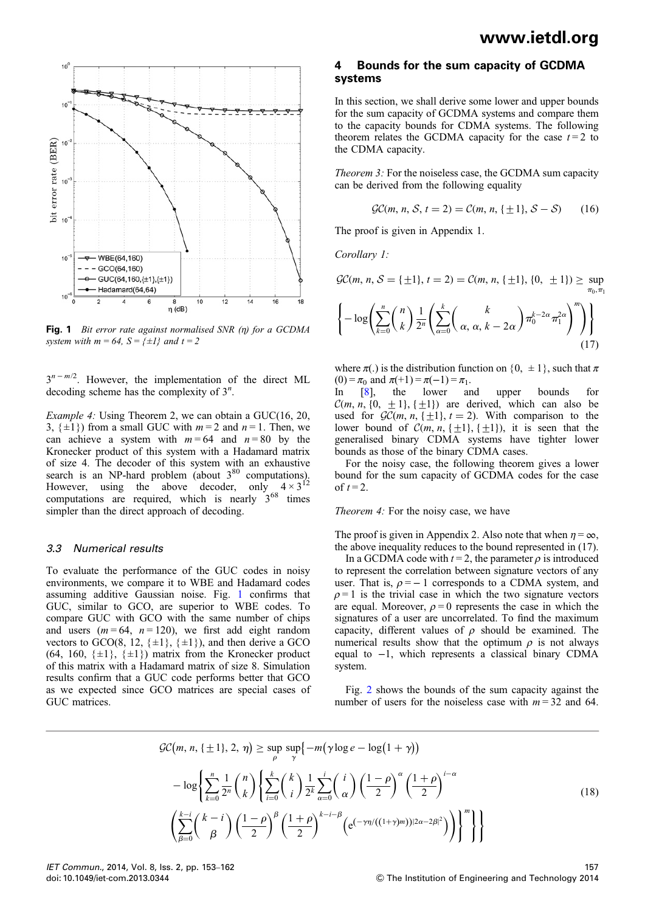

Fig. 1 Bit error rate against normalised SNR  $(n)$  for a GCDMA system with  $m = 64$ ,  $S = \{\pm 1\}$  and  $t = 2$ 

 $3^{n-m/2}$ . However, the implementation of the direct ML decoding scheme has the complexity of  $3<sup>n</sup>$ .

Example 4: Using Theorem 2, we can obtain a GUC(16, 20, 3,  $\{\pm 1\}$  from a small GUC with  $m = 2$  and  $n = 1$ . Then, we can achieve a system with  $m = 64$  and  $n = 80$  by the Kronecker product of this system with a Hadamard matrix of size 4. The decoder of this system with an exhaustive search is an NP-hard problem (about  $3^{80}$  computations). However, using the above decoder, only  $4 \times 3^{12}$ computations are required, which is nearly  $3^{68}$  times simpler than the direct approach of decoding.

#### 3.3 Numerical results

To evaluate the performance of the GUC codes in noisy environments, we compare it to WBE and Hadamard codes assuming additive Gaussian noise. Fig. 1 confirms that GUC, similar to GCO, are superior to WBE codes. To compare GUC with GCO with the same number of chips and users  $(m = 64, n = 120)$ , we first add eight random vectors to GCO(8, 12,  $\{\pm 1\}$ ,  $\{\pm 1\}$ ), and then derive a GCO (64, 160,  $\{\pm 1\}$ ,  $\{\pm 1\}$ ) matrix from the Kronecker product of this matrix with a Hadamard matrix of size 8. Simulation results confirm that a GUC code performs better that GCO as we expected since GCO matrices are special cases of GUC matrices.

### 4 Bounds for the sum capacity of GCDMA systems

In this section, we shall derive some lower and upper bounds for the sum capacity of GCDMA systems and compare them to the capacity bounds for CDMA systems. The following theorem relates the GCDMA capacity for the case  $t = 2$  to the CDMA capacity.

Theorem 3: For the noiseless case, the GCDMA sum capacity can be derived from the following equality

$$
\mathcal{GC}(m, n, \mathcal{S}, t = 2) = \mathcal{C}(m, n, \{\pm 1\}, \mathcal{S} - \mathcal{S}) \tag{16}
$$

The proof is given in Appendix 1.

Corollary 1:

$$
\mathcal{GC}(m, n, \mathcal{S} = \{\pm 1\}, t = 2) = \mathcal{C}(m, n, \{\pm 1\}, \{0, \pm 1\}) \ge \sup_{\pi_0, \pi_1} \left\{-\log\left(\sum_{k=0}^n \binom{n}{k} \frac{1}{2^n} \left(\sum_{\alpha=0}^k \binom{k}{\alpha, \alpha, k - 2\alpha} \pi_0^{2\alpha} \pi_1^{2\alpha} \right)^m\right)\right\}
$$

(17) where  $\pi(.)$  is the distribution function on  $\{0, \pm 1\}$ , such that  $\pi$ 

(0) =  $\pi_0$  and  $\pi(+1) = \pi(-1) = \pi_1$ .<br>
In [8], the lower and upper bounds for

 $\mathcal{C}(m, n, \{0, \pm 1\}, \{\pm 1\})$  are derived, which can also be used for  $\mathcal{GC}(m, n, \{\pm 1\}, t = 2)$ . With comparison to the lower bound of  $C(m, n, \{\pm 1\}, \{\pm 1\})$ , it is seen that the generalised binary CDMA systems have tighter lower bounds as those of the binary CDMA cases.

For the noisy case, the following theorem gives a lower bound for the sum capacity of GCDMA codes for the case of  $t = 2$ .

#### Theorem 4: For the noisy case, we have

The proof is given in Appendix 2. Also note that when  $\eta = \infty$ , the above inequality reduces to the bound represented in (17).

In a GCDMA code with  $t = 2$ , the parameter  $\rho$  is introduced to represent the correlation between signature vectors of any user. That is,  $\rho = -1$  corresponds to a CDMA system, and  $\rho = 1$  is the trivial case in which the two signature vectors are equal. Moreover,  $\rho = 0$  represents the case in which the signatures of a user are uncorrelated. To find the maximum capacity, different values of  $\rho$  should be examined. The numerical results show that the optimum  $\rho$  is not always equal to −1, which represents a classical binary CDMA system.

Fig. 2 shows the bounds of the sum capacity against the number of users for the noiseless case with  $m = 32$  and 64.

$$
\mathcal{GC}(m, n, \{\pm 1\}, 2, \eta) \ge \sup_{\rho} \sup_{\gamma} \left\{-m(\gamma \log e - \log(1 + \gamma))\right\}
$$

$$
-\log \left\{ \sum_{k=0}^{n} \frac{1}{2^n} {n \choose k} \left\{ \sum_{i=0}^{k} {k \choose i} \frac{1}{2^k} \sum_{\alpha=0}^{i} {i \choose \alpha} \left(\frac{1-\rho}{2}\right)^{\alpha} \left(\frac{1+\rho}{2}\right)^{i-\alpha} \left(\frac{k-i}{\beta} \left(\frac{k-i}{\beta}\right) \left(\frac{1-\rho}{2}\right)^{\beta} \left(\frac{1+\rho}{2}\right)^{k-i-\beta} \left(e^{(-\gamma \eta/((1+\gamma)m))|2\alpha-2\beta|^2})\right) \right\}^m \right\}
$$
(18)

IET Commun., 2014, Vol. 8, Iss. 2, pp. 153–162 doi: 10.1049/iet-com.2013.0344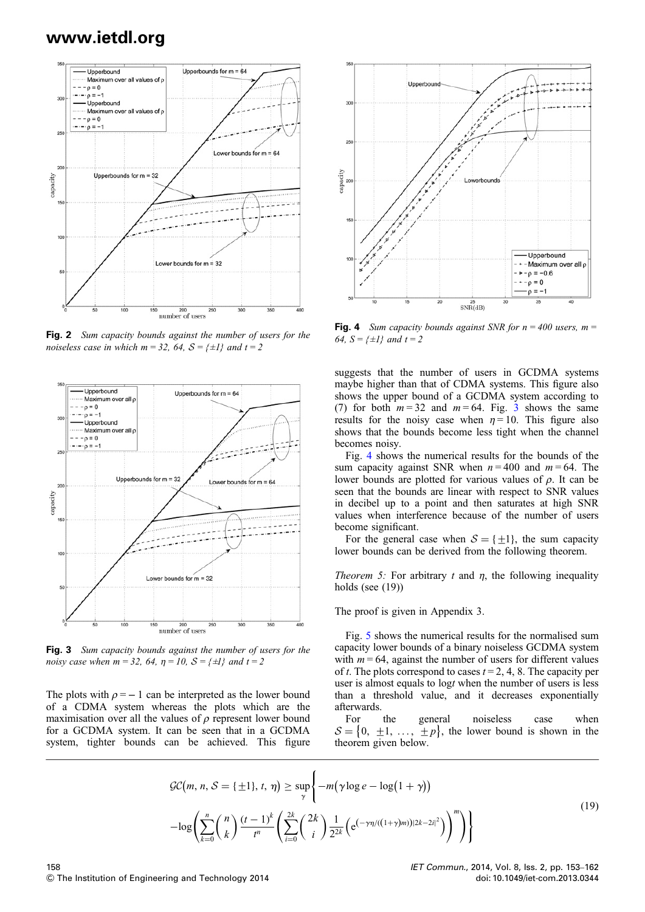

Fig. 2 Sum capacity bounds against the number of users for the noiseless case in which  $m = 32$ , 64,  $S = \{\pm 1\}$  and  $t = 2$ 



Fig. 3 Sum capacity bounds against the number of users for the noisy case when  $m = 32$ , 64,  $\eta = 10$ ,  $S = \{\pm 1\}$  and  $t = 2$ 

The plots with  $\rho = -1$  can be interpreted as the lower bound of a CDMA system whereas the plots which are the maximisation over all the values of  $\rho$  represent lower bound for a GCDMA system. It can be seen that in a GCDMA system, tighter bounds can be achieved. This figure



**Fig. 4** Sum capacity bounds against SNR for  $n = 400$  users,  $m =$ 64,  $S = \{\pm 1\}$  and  $t = 2$ 

suggests that the number of users in GCDMA systems maybe higher than that of CDMA systems. This figure also shows the upper bound of a GCDMA system according to (7) for both  $m = 32$  and  $m = 64$ . Fig. 3 shows the same results for the noisy case when  $\eta = 10$ . This figure also shows that the bounds become less tight when the channel becomes noisy.

Fig. 4 shows the numerical results for the bounds of the sum capacity against SNR when  $n = 400$  and  $m = 64$ . The lower bounds are plotted for various values of  $\rho$ . It can be seen that the bounds are linear with respect to SNR values in decibel up to a point and then saturates at high SNR values when interference because of the number of users become significant.

For the general case when  $S = \{ \pm 1 \}$ , the sum capacity lower bounds can be derived from the following theorem.

Theorem 5: For arbitrary t and  $\eta$ , the following inequality holds (see  $(19)$ )

The proof is given in Appendix 3.

Fig. 5 shows the numerical results for the normalised sum capacity lower bounds of a binary noiseless GCDMA system with  $m = 64$ , against the number of users for different values of t. The plots correspond to cases  $t = 2, 4, 8$ . The capacity per user is almost equals to logt when the number of users is less than a threshold value, and it decreases exponentially afterwards.

For the general noiseless case when  $S = \{0, \pm 1, \ldots, \pm p\}$ , the lower bound is shown in the theorem given below.

$$
\mathcal{GC}(m, n, \mathcal{S} = \{\pm 1\}, t, \eta) \ge \sup_{\gamma} \left\{-m(\gamma \log e - \log(1 + \gamma)) -\log\left(\sum_{k=0}^{n} {n \choose k} \frac{(t-1)^k}{t^n} \left(\sum_{i=0}^{2k} {2k \choose i} \frac{1}{2^{2k}} \left(e^{(-\gamma \eta/((1+\gamma)m))|2k-2i|^2}\right)\right)^m\right)\right\}
$$
\n
$$
(19)
$$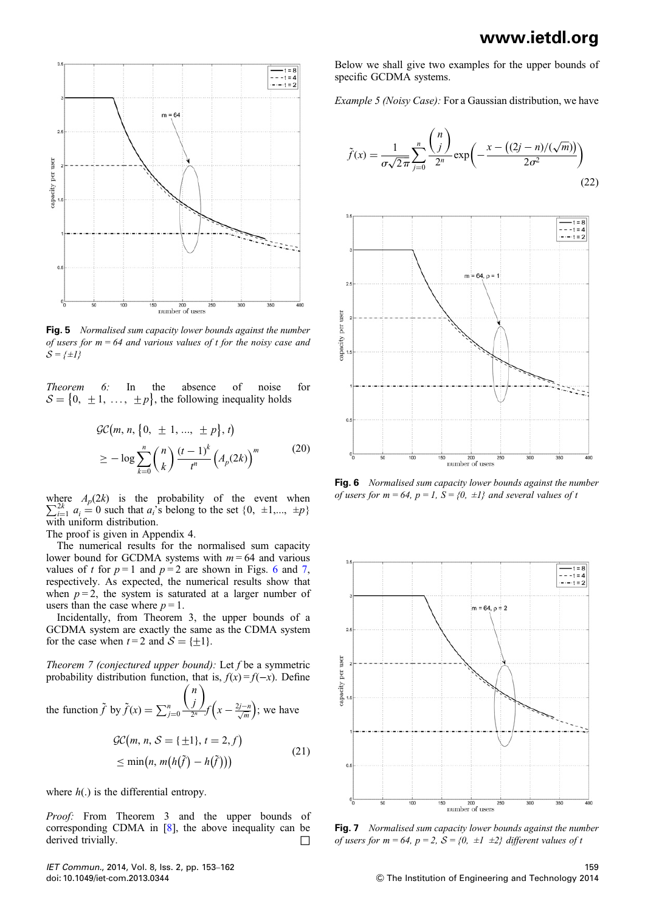

Fig. 5 Normalised sum capacity lower bounds against the number of users for  $m = 64$  and various values of t for the noisy case and  $S = \{\pm I\}$ 

Theorem 6: In the absence of noise for  $S = \{0, \pm 1, \ldots, \pm p\}$ , the following inequality holds

$$
\mathcal{GC}(m, n, \{0, \pm 1, ..., \pm p\}, t)
$$
  
 
$$
\geq -\log \sum_{k=0}^{n} {n \choose k} \frac{(t-1)^k}{t^n} \left(A_p(2k)\right)^m
$$
 (20)

 $\sum_{i=1}^{2k} a_i = 0$  such that  $a_i$ 's belong to the set  $\{0, \pm 1,\dots, \pm p\}$ where  $A_p(2k)$  is the probability of the event when with uniform distribution.

The proof is given in Appendix 4.

The numerical results for the normalised sum capacity lower bound for GCDMA systems with  $m = 64$  and various values of t for  $p=1$  and  $p=2$  are shown in Figs. 6 and 7, respectively. As expected, the numerical results show that when  $p = 2$ , the system is saturated at a larger number of users than the case where  $p = 1$ .

Incidentally, from Theorem 3, the upper bounds of a GCDMA system are exactly the same as the CDMA system for the case when  $t = 2$  and  $S = \{ \pm 1 \}.$ 

Theorem 7 (conjectured upper bound): Let  $f$  be a symmetric probability distribution function, that is,  $f(x) = f(-x)$ . Define

the function  $\tilde{f}$  by  $\tilde{f}(x) = \sum_{j=0}^{n}$ n j  $(n)$  $rac{J}{2^n}f\left(x-\frac{2j-n}{\sqrt{m}}\right)$ ; we have

$$
\mathcal{GC}(m, n, \mathcal{S} = \{\pm 1\}, t = 2, f)
$$
  
\n
$$
\leq \min(n, m(h(\tilde{f}) - h(\tilde{f})))
$$
\n(21)

where  $h(.)$  is the differential entropy.

Proof: From Theorem 3 and the upper bounds of corresponding CDMA in [8], the above inequality can be derived trivially. □

IET Commun., 2014, Vol. 8, Iss. 2, pp. 153–162 doi: 10.1049/iet-com.2013.0344

Below we shall give two examples for the upper bounds of specific GCDMA systems.

Example 5 (Noisy Case): For a Gaussian distribution, we have

$$
\tilde{f}(x) = \frac{1}{\sigma\sqrt{2\pi}} \sum_{j=0}^{n} \frac{\binom{n}{j}}{2^n} \exp\left(-\frac{x - \left((2j - n)/(\sqrt{m})\right)}{2\sigma^2}\right)
$$
(22)



Fig. 6 Normalised sum capacity lower bounds against the number of users for  $m = 64$ ,  $p = 1$ ,  $S = \{0, \pm 1\}$  and several values of t



Fig. 7 Normalised sum capacity lower bounds against the number of users for  $m = 64$ ,  $p = 2$ ,  $S = \{0, \pm 1, \pm 2\}$  different values of t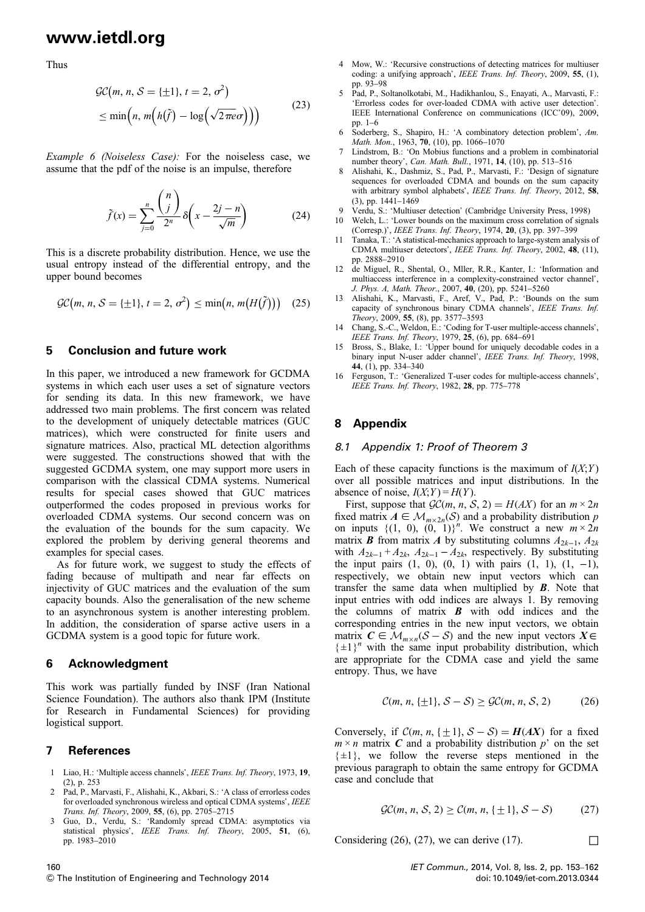Thus

$$
\mathcal{GC}(m, n, \mathcal{S} = \{\pm 1\}, t = 2, \sigma^2)
$$
  

$$
\leq \min\left(n, m\left(h(\tilde{f}) - \log\left(\sqrt{2\pi e}\sigma\right)\right)\right)
$$
 (23)

Example 6 (Noiseless Case): For the noiseless case, we assume that the pdf of the noise is an impulse, therefore

$$
\tilde{f}(x) = \sum_{j=0}^{n} \frac{\binom{n}{j}}{2^n} \delta\left(x - \frac{2j - n}{\sqrt{m}}\right)
$$
(24)

This is a discrete probability distribution. Hence, we use the usual entropy instead of the differential entropy, and the upper bound becomes

$$
\mathcal{GC}(m, n, \mathcal{S} = \{\pm 1\}, t = 2, \sigma^2) \le \min(n, m(H(\tilde{f}))) \quad (25)
$$

### 5 Conclusion and future work

In this paper, we introduced a new framework for GCDMA systems in which each user uses a set of signature vectors for sending its data. In this new framework, we have addressed two main problems. The first concern was related to the development of uniquely detectable matrices (GUC matrices), which were constructed for finite users and signature matrices. Also, practical ML detection algorithms were suggested. The constructions showed that with the suggested GCDMA system, one may support more users in comparison with the classical CDMA systems. Numerical results for special cases showed that GUC matrices outperformed the codes proposed in previous works for overloaded CDMA systems. Our second concern was on the evaluation of the bounds for the sum capacity. We explored the problem by deriving general theorems and examples for special cases.

As for future work, we suggest to study the effects of fading because of multipath and near far effects on injectivity of GUC matrices and the evaluation of the sum capacity bounds. Also the generalisation of the new scheme to an asynchronous system is another interesting problem. In addition, the consideration of sparse active users in a GCDMA system is a good topic for future work.

#### 6 Acknowledgment

This work was partially funded by INSF (Iran National Science Foundation). The authors also thank IPM (Institute for Research in Fundamental Sciences) for providing logistical support.

#### 7 References

- 1 Liao, H.: 'Multiple access channels', IEEE Trans. Inf. Theory, 1973, 19, (2), p. 253
- 2 Pad, P., Marvasti, F., Alishahi, K., Akbari, S.: 'A class of errorless codes for overloaded synchronous wireless and optical CDMA systems', IEEE Trans. Inf. Theory, 2009, 55, (6), pp. 2705–2715
- 3 Guo, D., Verdu, S.: 'Randomly spread CDMA: asymptotics via statistical physics', IEEE Trans. Inf. Theory, 2005, 51, (6), pp. 1983–2010
- 4 Mow, W.: 'Recursive constructions of detecting matrices for multiuser coding: a unifying approach', IEEE Trans. Inf. Theory, 2009, 55, (1), pp. 93–98
- 5 Pad, P., Soltanolkotabi, M., Hadikhanlou, S., Enayati, A., Marvasti, F.: 'Errorless codes for over-loaded CDMA with active user detection'. IEEE International Conference on communications (ICC'09), 2009, pp. 1–6
- 6 Soderberg, S., Shapiro, H.: 'A combinatory detection problem', Am. Math. Mon., 1963, 70, (10), pp. 1066-1070
- 7 Lindstrom, B.: 'On Mobius functions and a problem in combinatorial number theory', Can. Math. Bull., 1971, 14, (10), pp. 513-516
- 8 Alishahi, K., Dashmiz, S., Pad, P., Marvasti, F.: 'Design of signature sequences for overloaded CDMA and bounds on the sum capacity with arbitrary symbol alphabets', IEEE Trans. Inf. Theory, 2012, 58, (3), pp. 1441–1469
- Verdu, S.: 'Multiuser detection' (Cambridge University Press, 1998)
- 10 Welch, L.: 'Lower bounds on the maximum cross correlation of signals (Corresp.)', IEEE Trans. Inf. Theory, 1974, 20, (3), pp. 397–399
- Tanaka, T.: 'A statistical-mechanics approach to large-system analysis of CDMA multiuser detectors', IEEE Trans. Inf. Theory, 2002, 48, (11), pp. 2888–2910
- 12 de Miguel, R., Shental, O., Mller, R.R., Kanter, I.: 'Information and multiaccess interference in a complexity-constrained vector channel', J. Phys. A, Math. Theor., 2007, 40, (20), pp. 5241–5260
- 13 Alishahi, K., Marvasti, F., Aref, V., Pad, P.: 'Bounds on the sum capacity of synchronous binary CDMA channels', IEEE Trans. Inf. Theory, 2009, 55, (8), pp. 3577–3593
- 14 Chang, S.-C., Weldon, E.: 'Coding for T-user multiple-access channels', IEEE Trans. Inf. Theory, 1979, 25, (6), pp. 684–691
- 15 Bross, S., Blake, I.: 'Upper bound for uniquely decodable codes in a binary input N-user adder channel', IEEE Trans. Inf. Theory, 1998, 44, (1), pp. 334–340
- 16 Ferguson, T.: 'Generalized T-user codes for multiple-access channels', IEEE Trans. Inf. Theory, 1982, 28, pp. 775–778

### 8 Appendix

#### 8.1 Appendix 1: Proof of Theorem 3

Each of these capacity functions is the maximum of  $I(X;Y)$ over all possible matrices and input distributions. In the absence of noise,  $I(X;Y) = H(Y)$ .

First, suppose that  $\mathcal{GC}(m, n, S, 2) = H(AX)$  for an  $m \times 2n$ fixed matrix  $A \in \mathcal{M}_{m \times 2n}(\mathcal{S})$  and a probability distribution p on inputs  $\{(1, 0), (0, 1)\}^n$ . We construct a new  $m \times 2n$ matrix **B** from matrix A by substituting columns  $A_{2k-1}$ ,  $A_{2k}$ with  $A_{2k-1} + A_{2k}$ ,  $A_{2k-1} - A_{2k}$ , respectively. By substituting the input pairs  $(1, 0)$ ,  $(0, 1)$  with pairs  $(1, 1)$ ,  $(1, -1)$ , respectively, we obtain new input vectors which can transfer the same data when multiplied by  $B$ . Note that input entries with odd indices are always 1. By removing the columns of matrix  $\boldsymbol{B}$  with odd indices and the corresponding entries in the new input vectors, we obtain matrix  $C \in \mathcal{M}_{m \times n}(\mathcal{S} - \mathcal{S})$  and the new input vectors  $X \in$  $\{\pm 1\}^n$  with the same input probability distribution, which are appropriate for the CDMA case and yield the same entropy. Thus, we have

$$
\mathcal{C}(m, n, \{\pm 1\}, \mathcal{S} - \mathcal{S}) \geq \mathcal{GC}(m, n, \mathcal{S}, 2) \tag{26}
$$

Conversely, if  $C(m, n, {+1} , S - S) = H(AX)$  for a fixed  $m \times n$  matrix C and a probability distribution p' on the set  $\{\pm 1\}$ , we follow the reverse steps mentioned in the previous paragraph to obtain the same entropy for GCDMA case and conclude that

$$
\mathcal{GC}(m, n, \mathcal{S}, 2) \ge \mathcal{C}(m, n, \{\pm 1\}, \mathcal{S} - \mathcal{S}) \tag{27}
$$

Considering (26), (27), we can derive (17).  $\Box$ 

160

& The Institution of Engineering and Technology 2014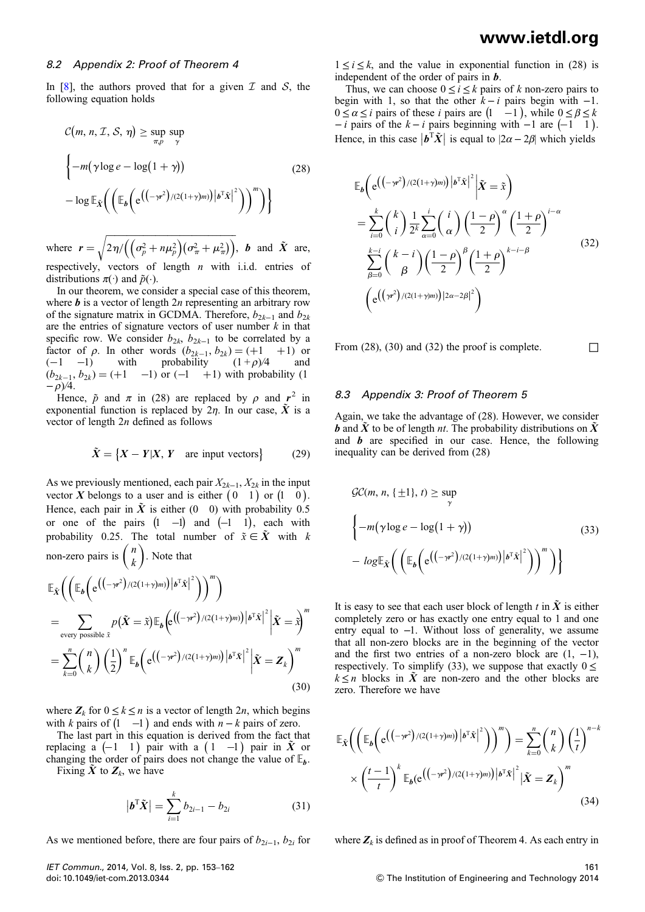#### 8.2 Appendix 2: Proof of Theorem 4

In [8], the authors proved that for a given  $\mathcal I$  and  $\mathcal S$ , the following equation holds

$$
C(m, n, \mathcal{I}, \mathcal{S}, \eta) \ge \sup_{\pi, p} \sup_{\gamma}
$$
  

$$
\left\{-m(\gamma \log e - \log(1+\gamma)) - \log \mathbb{E}_{\tilde{X}}\left(\left(\mathbb{E}_{b}\left(e^{((-\gamma^{2})/(2(1+\gamma)m))|\boldsymbol{b}^{T}\tilde{X}|^{2}}\right)\right)^{m}\right)\right\}
$$
(28)

where  $\mathbf{r} = \sqrt{2\eta/\left(\left(\sigma_p^2 + n\mu_p^2\right)\left(\sigma_\pi^2 + \mu_\pi^2\right)\right)}, \ \mathbf{b}$  and  $\tilde{X}$  are, respectively, vectors of length  $n$  with i.i.d. entries of distributions  $\pi(\cdot)$  and  $\tilde{p}(\cdot)$ .

In our theorem, we consider a special case of this theorem, where  $\boldsymbol{b}$  is a vector of length  $2n$  representing an arbitrary row of the signature matrix in GCDMA. Therefore,  $b_{2k-1}$  and  $b_{2k}$ are the entries of signature vectors of user number  $k$  in that specific row. We consider  $b_{2k}$ ,  $b_{2k-1}$  to be correlated by a factor of  $\rho$ . In other words  $(b_{2k-1}, b_{2k}) = (+1 +1)$  or  $(-1 -1)$  with probability  $(1+\rho)/4$  and  $(-1 \quad -1)$  with probability  $(1 + \rho)/4$  $(b_{2k-1}, b_{2k}) = (+1 \quad -1)$  or  $(-1 \quad +1)$  with probability (1  $-\rho$ )/4.

Hence,  $\tilde{p}$  and  $\pi$  in (28) are replaced by  $\rho$  and  $r^2$  in exponential function is replaced by  $2\eta$ . In our case,  $\tilde{X}$  is a vector of length 2n defined as follows

$$
\tilde{X} = \{ X - Y | X, Y \text{ are input vectors} \}
$$
 (29)

As we previously mentioned, each pair  $X_{2k-1}$ ,  $X_{2k}$  in the input vector X belongs to a user and is either  $(0 \t1)$  or  $(1 \t0)$ . Hence, each pair in  $\tilde{X}$  is either (0 0) with probability 0.5 or one of the pairs  $(1 \ -1)$  and  $(-1 \ 1)$ , each with probability 0.25. The total number of  $\tilde{x} \in \tilde{X}$  with k non-zero pairs is  $\binom{n}{k}$ . Note that

$$
\mathbb{E}_{\tilde{X}}\bigg(\bigg(\mathbb{E}_{\boldsymbol{b}}\bigg(\mathrm{e}((-\gamma^2)/(2(1+\gamma)m))\big|\boldsymbol{b}^{\mathrm{T}}\tilde{\boldsymbol{x}}\big|^2\bigg)\bigg)^m\bigg) \n= \sum_{\text{every possible }\tilde{\boldsymbol{x}}} p(\tilde{\boldsymbol{X}} = \tilde{\boldsymbol{x}})\mathbb{E}_{\boldsymbol{b}}\bigg(\mathrm{e}((-\gamma^2)/(2(1+\gamma)m))\big|\boldsymbol{b}^{\mathrm{T}}\tilde{\boldsymbol{x}}\big|^2\big|\tilde{\boldsymbol{X}} = \tilde{\boldsymbol{x}}\big)^m \n= \sum_{k=0}^n {n \choose k} \left(\frac{1}{2}\right)^n \mathbb{E}_{\boldsymbol{b}}\bigg(\mathrm{e}((-\gamma^2)/(2(1+\gamma)m))\big|\boldsymbol{b}^{\mathrm{T}}\tilde{\boldsymbol{x}}\big|^2\big|\tilde{\boldsymbol{X}} = \boldsymbol{Z}_k\bigg)^m
$$
\n(30)

where  $Z_k$  for  $0 \le k \le n$  is a vector of length 2*n*, which begins with k pairs of  $(1 -1)$  and ends with  $n - k$  pairs of zero.

The last part in this equation is derived from the fact that replacing a  $(-1 \ 1)$  pair with a  $(1 \ -1)$  pair in  $\tilde{X}$  or changing the order of pairs does not change the value of  $\mathbb{E}_{h}$ . Fixing  $\tilde{X}$  to  $Z_k$ , we have

$$
|\boldsymbol{b}^{\mathrm{T}}\tilde{\boldsymbol{X}}| = \sum_{i=1}^{k} b_{2i-1} - b_{2i}
$$
 (31)

As we mentioned before, there are four pairs of  $b_{2i-1}$ ,  $b_{2i}$  for

IET Commun., 2014, Vol. 8, Iss. 2, pp. 153–162 doi: 10.1049/iet-com.2013.0344

 $1 \le i \le k$ , and the value in exponential function in (28) is independent of the order of pairs in **.** 

Thus, we can choose  $0 \le i \le k$  pairs of k non-zero pairs to begin with 1, so that the other  $k - i$  pairs begin with  $-1$ .  $0 \le \alpha \le i$  pairs of these i pairs are  $(1 \ -1)$ , while  $0 \le \beta \le k$  $-i$  pairs of the  $k - i$  pairs beginning with  $-1$  are  $(-1 \ 1)$ . Hence, in this case  $|\boldsymbol{b}^T \tilde{\boldsymbol{X}}|$  is equal to  $|2\alpha - 2\beta|$  which yields

$$
\mathbb{E}_{b}\left(e^{\left(\left(-\gamma r^{2}\right)/(2(1+\gamma)m)\right)\left|\boldsymbol{b}^{T}\tilde{\boldsymbol{X}}\right|^{2}}\right|\tilde{\boldsymbol{X}}=\tilde{\boldsymbol{x}}\right)
$$
\n
$$
=\sum_{i=0}^{k}\binom{k}{i}\frac{1}{2^{k}}\sum_{\alpha=0}^{i}\binom{i}{\alpha}\left(\frac{1-\rho}{2}\right)^{\alpha}\left(\frac{1+\rho}{2}\right)^{i-\alpha}
$$
\n
$$
\sum_{\beta=0}^{k-i}\binom{k-i}{\beta}\left(\frac{1-\rho}{2}\right)^{\beta}\left(\frac{1+\rho}{2}\right)^{k-i-\beta}
$$
\n
$$
\left(e^{\left(\left(\gamma r^{2}\right)/(2(1+\gamma)m)\right)\left|2\alpha-2\beta\right|^{2}}\right)
$$
\n(32)

From (28), (30) and (32) the proof is complete.  $\Box$ 

### 8.3 Appendix 3: Proof of Theorem 5

Again, we take the advantage of (28). However, we consider **b** and  $\tilde{X}$  to be of length *nt*. The probability distributions on  $\tilde{X}$ and  $\boldsymbol{b}$  are specified in our case. Hence, the following inequality can be derived from (28)

$$
\mathcal{GC}(m, n, \{\pm 1\}, t) \ge \sup_{\gamma}
$$
\n
$$
\left\{-m(\gamma \log e - \log(1+\gamma)) - \log \mathbb{E}_{\tilde{X}}\left(\left(\mathbb{E}_{b}\left(e^{((-\gamma r^{2})/(2(1+\gamma)m))\left|\boldsymbol{b}^{T}\tilde{X}\right|^{2}}\right)\right)^{m}\right)\right\}
$$
\n(33)

It is easy to see that each user block of length t in  $\tilde{X}$  is either completely zero or has exactly one entry equal to 1 and one entry equal to −1. Without loss of generality, we assume that all non-zero blocks are in the beginning of the vector and the first two entries of a non-zero block are  $(1, -1)$ , respectively. To simplify (33), we suppose that exactly  $0 \le$  $k \leq n$  blocks in  $\tilde{X}$  are non-zero and the other blocks are zero. Therefore we have

$$
\mathbb{E}_{\tilde{X}}\bigg(\bigg(\mathbb{E}_{\boldsymbol{b}}\bigg(\mathrm{e}^{\left((-\gamma r^2)/(2(1+\gamma)m)\right)\big|\boldsymbol{b}^{\mathrm{T}}\tilde{\boldsymbol{x}}\big|^2}\bigg)\bigg)^m\bigg) = \sum_{k=0}^n {n \choose k} \left(\frac{1}{t}\right)^{n-k} \times \left(\frac{t-1}{t}\right)^k \mathbb{E}_{\boldsymbol{b}}(\mathrm{e}^{\left((-\gamma r^2)/(2(1+\gamma)m)\right)\big|\boldsymbol{b}^{\mathrm{T}}\tilde{\boldsymbol{x}}\big|^2} \big|\tilde{\boldsymbol{X}} = \boldsymbol{Z}_k\bigg)^m
$$
\n(34)

where  $Z_k$  is defined as in proof of Theorem 4. As each entry in